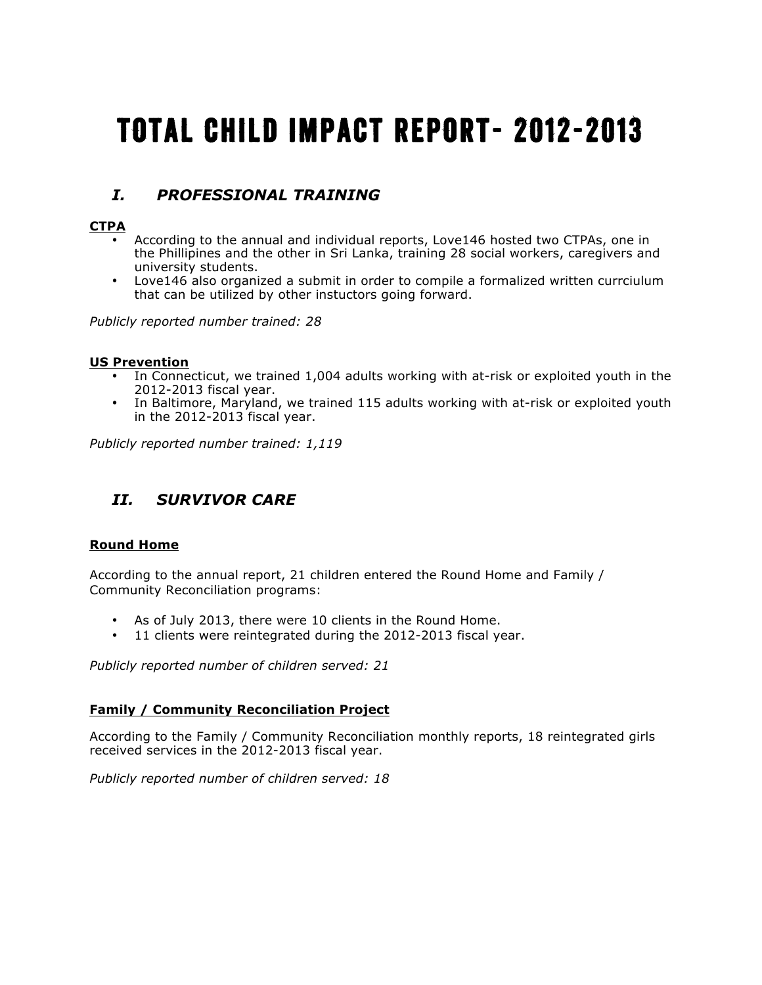# Total Child Impact Report- 2012-2013

# *I. PROFESSIONAL TRAINING*

# **CTPA**

- According to the annual and individual reports, Love146 hosted two CTPAs, one in the Phillipines and the other in Sri Lanka, training 28 social workers, caregivers and university students.
- Love146 also organized a submit in order to compile a formalized written currciulum that can be utilized by other instuctors going forward.

*Publicly reported number trained: 28*

## **US Prevention**

- In Connecticut, we trained 1,004 adults working with at-risk or exploited youth in the 2012-2013 fiscal year.
- In Baltimore, Maryland, we trained 115 adults working with at-risk or exploited youth in the 2012-2013 fiscal year.

*Publicly reported number trained: 1,119*

# *II. SURVIVOR CARE*

# **Round Home**

According to the annual report, 21 children entered the Round Home and Family / Community Reconciliation programs:

- As of July 2013, there were 10 clients in the Round Home.
- 11 clients were reintegrated during the 2012-2013 fiscal year.

*Publicly reported number of children served: 21*

### **Family / Community Reconciliation Project**

According to the Family / Community Reconciliation monthly reports, 18 reintegrated girls received services in the 2012-2013 fiscal year.

*Publicly reported number of children served: 18*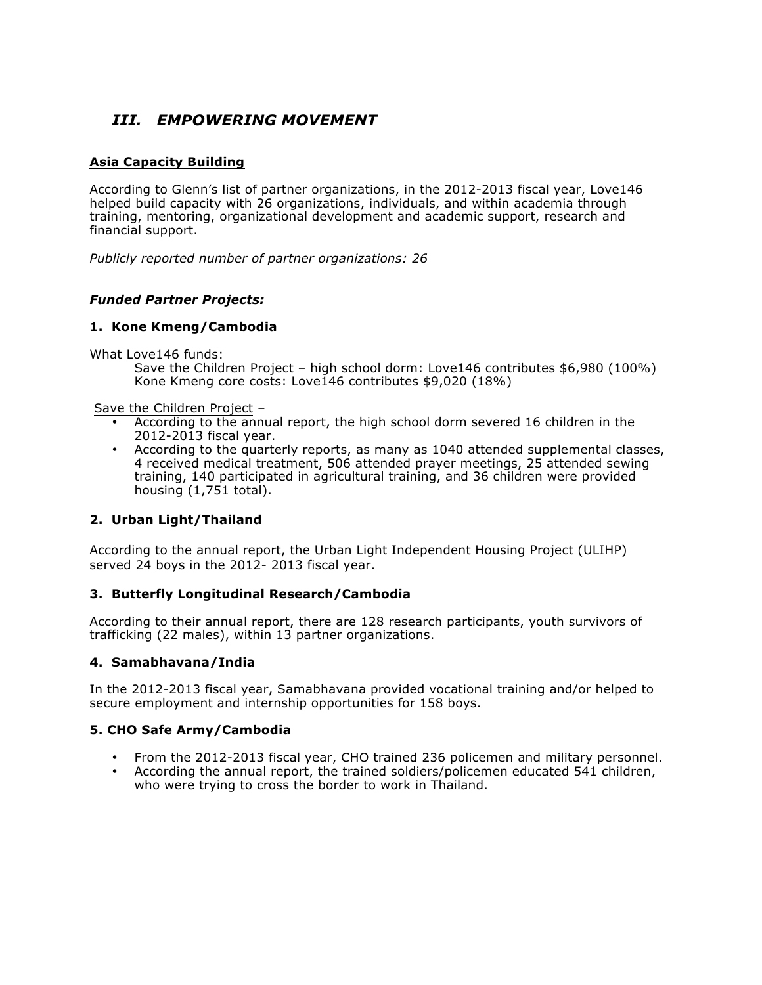# *III. EMPOWERING MOVEMENT*

# **Asia Capacity Building**

According to Glenn's list of partner organizations, in the 2012-2013 fiscal year, Love146 helped build capacity with 26 organizations, individuals, and within academia through training, mentoring, organizational development and academic support, research and financial support.

*Publicly reported number of partner organizations: 26*

## *Funded Partner Projects:*

# **1. Kone Kmeng/Cambodia**

#### What Love146 funds:

Save the Children Project – high school dorm: Love146 contributes \$6,980 (100%) Kone Kmeng core costs: Love146 contributes \$9,020 (18%)

Save the Children Project –

- According to the annual report, the high school dorm severed 16 children in the 2012-2013 fiscal year.
- According to the quarterly reports, as many as 1040 attended supplemental classes, 4 received medical treatment, 506 attended prayer meetings, 25 attended sewing training, 140 participated in agricultural training, and 36 children were provided housing (1,751 total).

# **2. Urban Light/Thailand**

According to the annual report, the Urban Light Independent Housing Project (ULIHP) served 24 boys in the 2012- 2013 fiscal year.

### **3. Butterfly Longitudinal Research/Cambodia**

According to their annual report, there are 128 research participants, youth survivors of trafficking (22 males), within 13 partner organizations.

### **4. Samabhavana/India**

In the 2012-2013 fiscal year, Samabhavana provided vocational training and/or helped to secure employment and internship opportunities for 158 boys.

### **5. CHO Safe Army/Cambodia**

- From the 2012-2013 fiscal year, CHO trained 236 policemen and military personnel.
- According the annual report, the trained soldiers/policemen educated 541 children, who were trying to cross the border to work in Thailand.